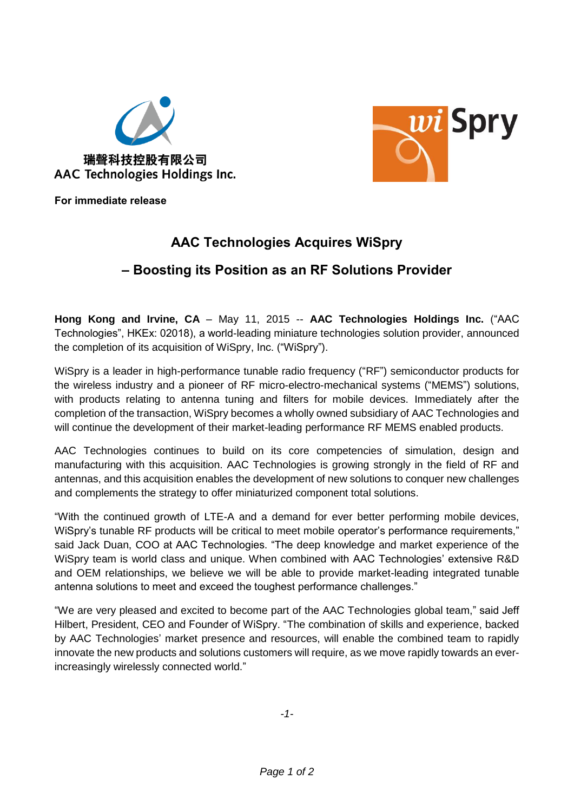



**For immediate release**

# **AAC Technologies Acquires WiSpry**

## **– Boosting its Position as an RF Solutions Provider**

**Hong Kong and Irvine, CA** – May 11, 2015 -- **AAC Technologies Holdings Inc.** ("AAC Technologies", HKEx: 02018), a world-leading miniature technologies solution provider, announced the completion of its acquisition of WiSpry, Inc. ("WiSpry").

WiSpry is a leader in high-performance tunable radio frequency ("RF") semiconductor products for the wireless industry and a pioneer of RF micro-electro-mechanical systems ("MEMS") solutions, with products relating to antenna tuning and filters for mobile devices. Immediately after the completion of the transaction, WiSpry becomes a wholly owned subsidiary of AAC Technologies and will continue the development of their market-leading performance RF MEMS enabled products.

AAC Technologies continues to build on its core competencies of simulation, design and manufacturing with this acquisition. AAC Technologies is growing strongly in the field of RF and antennas, and this acquisition enables the development of new solutions to conquer new challenges and complements the strategy to offer miniaturized component total solutions.

"With the continued growth of LTE-A and a demand for ever better performing mobile devices, WiSpry's tunable RF products will be critical to meet mobile operator's performance requirements," said Jack Duan, COO at AAC Technologies. "The deep knowledge and market experience of the WiSpry team is world class and unique. When combined with AAC Technologies' extensive R&D and OEM relationships, we believe we will be able to provide market-leading integrated tunable antenna solutions to meet and exceed the toughest performance challenges."

"We are very pleased and excited to become part of the AAC Technologies global team," said Jeff Hilbert, President, CEO and Founder of WiSpry. "The combination of skills and experience, backed by AAC Technologies' market presence and resources, will enable the combined team to rapidly innovate the new products and solutions customers will require, as we move rapidly towards an everincreasingly wirelessly connected world."

*-1-*